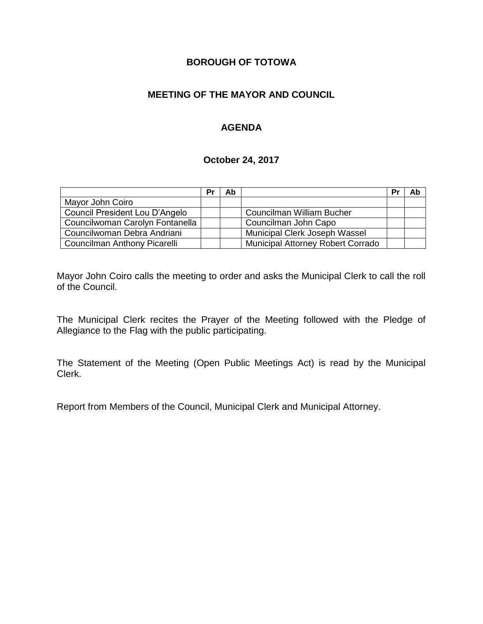# **BOROUGH OF TOTOWA**

# **MEETING OF THE MAYOR AND COUNCIL**

# **AGENDA**

#### **October 24, 2017**

|                                 | Pr | Ab |                                          | Pr | Ab |
|---------------------------------|----|----|------------------------------------------|----|----|
| Mayor John Coiro                |    |    |                                          |    |    |
| Council President Lou D'Angelo  |    |    | Councilman William Bucher                |    |    |
| Councilwoman Carolyn Fontanella |    |    | Councilman John Capo                     |    |    |
| Councilwoman Debra Andriani     |    |    | Municipal Clerk Joseph Wassel            |    |    |
| Councilman Anthony Picarelli    |    |    | <b>Municipal Attorney Robert Corrado</b> |    |    |

Mayor John Coiro calls the meeting to order and asks the Municipal Clerk to call the roll of the Council.

The Municipal Clerk recites the Prayer of the Meeting followed with the Pledge of Allegiance to the Flag with the public participating.

The Statement of the Meeting (Open Public Meetings Act) is read by the Municipal Clerk.

Report from Members of the Council, Municipal Clerk and Municipal Attorney.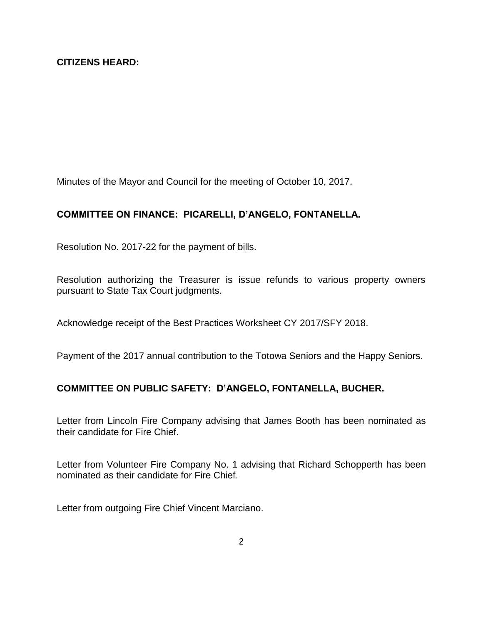Minutes of the Mayor and Council for the meeting of October 10, 2017.

### **COMMITTEE ON FINANCE: PICARELLI, D'ANGELO, FONTANELLA.**

Resolution No. 2017-22 for the payment of bills.

Resolution authorizing the Treasurer is issue refunds to various property owners pursuant to State Tax Court judgments.

Acknowledge receipt of the Best Practices Worksheet CY 2017/SFY 2018.

Payment of the 2017 annual contribution to the Totowa Seniors and the Happy Seniors.

### **COMMITTEE ON PUBLIC SAFETY: D'ANGELO, FONTANELLA, BUCHER.**

Letter from Lincoln Fire Company advising that James Booth has been nominated as their candidate for Fire Chief.

Letter from Volunteer Fire Company No. 1 advising that Richard Schopperth has been nominated as their candidate for Fire Chief.

Letter from outgoing Fire Chief Vincent Marciano.